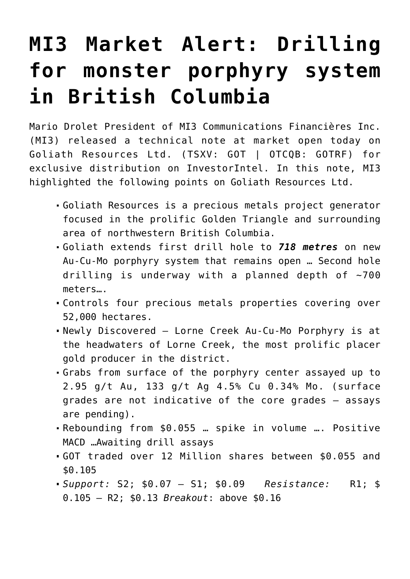## **[MI3 Market Alert: Drilling](https://investorintel.com/markets/gold-silver-base-metals/gold-precious-metals-intel/mi3-market-alert-drilling-for-monster-porphyry-system-in-b-c/) [for monster porphyry system](https://investorintel.com/markets/gold-silver-base-metals/gold-precious-metals-intel/mi3-market-alert-drilling-for-monster-porphyry-system-in-b-c/) [in British Columbia](https://investorintel.com/markets/gold-silver-base-metals/gold-precious-metals-intel/mi3-market-alert-drilling-for-monster-porphyry-system-in-b-c/)**

Mario Drolet President of MI3 Communications Financières Inc. (MI3) released a technical note at market open today on [Goliath Resources Ltd.](https://goliathresourcesltd.com/) (TSXV: GOT | OTCQB: GOTRF) for exclusive distribution on InvestorIntel. In this note, MI3 highlighted the following points on Goliath Resources Ltd.

- Goliath Resources is a precious metals project generator focused in the prolific Golden Triangle and surrounding area of northwestern British Columbia.
- Goliath extends first drill hole to *718 metres* on new Au-Cu-Mo porphyry system that remains open … Second hole drilling is underway with a planned depth of  $\sim$ 700 meters….
- Controls four precious metals properties covering over 52,000 hectares.
- Newly Discovered Lorne Creek Au-Cu-Mo Porphyry is at the headwaters of Lorne Creek, the most prolific placer gold producer in the district.
- Grabs from surface of the porphyry center assayed up to 2.95 g/t Au, 133 g/t Ag 4.5% Cu 0.34% Mo. (surface grades are not indicative of the core grades – assays are pending).
- Rebounding from \$0.055 … spike in volume …. Positive MACD …Awaiting drill assays
- GOT traded over 12 Million shares between \$0.055 and \$0.105
- *Support:* S2; \$0.07 S1; \$0.09 *Resistance:* R1; \$ 0.105 – R2; \$0.13 *Breakout*: above \$0.16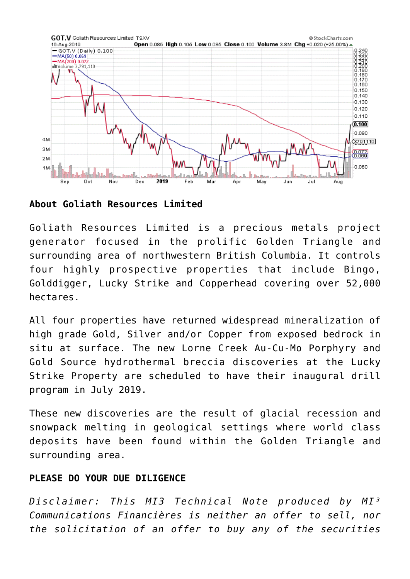

**About Goliath Resources Limited**

Goliath Resources Limited is a precious metals project generator focused in the prolific Golden Triangle and surrounding area of northwestern British Columbia. It controls four highly prospective properties that include Bingo, Golddigger, Lucky Strike and Copperhead covering over 52,000 hectares.

All four properties have returned widespread mineralization of high grade Gold, Silver and/or Copper from exposed bedrock in situ at surface. The new Lorne Creek Au-Cu-Mo Porphyry and Gold Source hydrothermal breccia discoveries at the Lucky Strike Property are scheduled to have their inaugural drill program in July 2019.

These new discoveries are the result of glacial recession and snowpack melting in geological settings where world class deposits have been found within the Golden Triangle and surrounding area.

## **PLEASE DO YOUR DUE DILIGENCE**

*Disclaimer: This MI3 Technical Note produced by MI³ Communications Financières is neither an offer to sell, nor the solicitation of an offer to buy any of the securities*